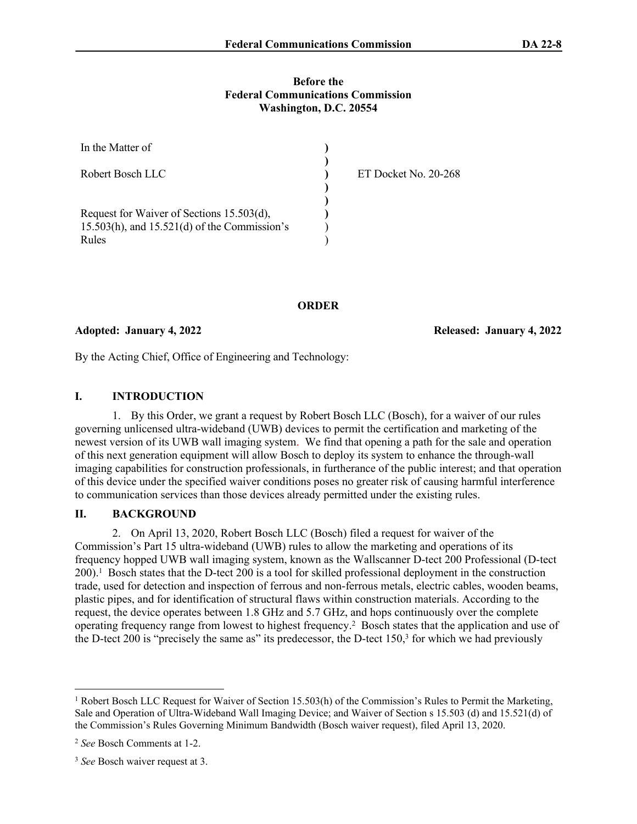#### **Before the Federal Communications Commission Washington, D.C. 20554**

| In the Matter of                                  |                      |
|---------------------------------------------------|----------------------|
| Robert Bosch LLC                                  | ET Docket No. 20-268 |
|                                                   |                      |
| Request for Waiver of Sections 15.503(d),         |                      |
| $15.503(h)$ , and $15.521(d)$ of the Commission's |                      |
| Rules                                             |                      |

**ORDER**

#### **Adopted: January 4, 2022 Released: January 4, 2022**

By the Acting Chief, Office of Engineering and Technology:

### **I. INTRODUCTION**

1. By this Order, we grant a request by Robert Bosch LLC (Bosch), for a waiver of our rules governing unlicensed ultra-wideband (UWB) devices to permit the certification and marketing of the newest version of its UWB wall imaging system. We find that opening a path for the sale and operation of this next generation equipment will allow Bosch to deploy its system to enhance the through-wall imaging capabilities for construction professionals, in furtherance of the public interest; and that operation of this device under the specified waiver conditions poses no greater risk of causing harmful interference to communication services than those devices already permitted under the existing rules.

### **II. BACKGROUND**

2. On April 13, 2020, Robert Bosch LLC (Bosch) filed a request for waiver of the Commission's Part 15 ultra-wideband (UWB) rules to allow the marketing and operations of its frequency hopped UWB wall imaging system, known as the Wallscanner D-tect 200 Professional (D-tect 200).<sup>1</sup> Bosch states that the D-tect 200 is a tool for skilled professional deployment in the construction trade, used for detection and inspection of ferrous and non-ferrous metals, electric cables, wooden beams, plastic pipes, and for identification of structural flaws within construction materials. According to the request, the device operates between 1.8 GHz and 5.7 GHz, and hops continuously over the complete operating frequency range from lowest to highest frequency.<sup>2</sup> Bosch states that the application and use of the D-tect 200 is "precisely the same as" its predecessor, the D-tect 150,<sup>3</sup> for which we had previously

<sup>&</sup>lt;sup>1</sup> Robert Bosch LLC Request for Waiver of Section 15.503(h) of the Commission's Rules to Permit the Marketing, Sale and Operation of Ultra-Wideband Wall Imaging Device; and Waiver of Section s 15.503 (d) and 15.521(d) of the Commission's Rules Governing Minimum Bandwidth (Bosch waiver request), filed April 13, 2020.

<sup>2</sup> *See* Bosch Comments at 1-2.

<sup>3</sup> *See* Bosch waiver request at 3.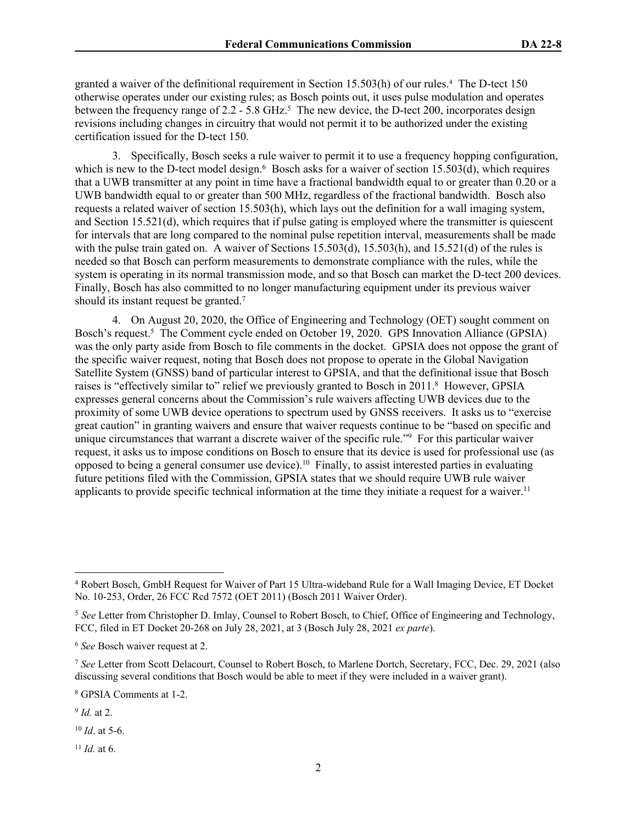granted a waiver of the definitional requirement in Section 15.503(h) of our rules.<sup>4</sup> The D-tect 150 otherwise operates under our existing rules; as Bosch points out, it uses pulse modulation and operates between the frequency range of 2.2 - 5.8 GHz.<sup>5</sup> The new device, the D-tect 200, incorporates design revisions including changes in circuitry that would not permit it to be authorized under the existing certification issued for the D-tect 150.

3. Specifically, Bosch seeks a rule waiver to permit it to use a frequency hopping configuration, which is new to the D-tect model design.<sup>6</sup> Bosch asks for a waiver of section 15.503(d), which requires that a UWB transmitter at any point in time have a fractional bandwidth equal to or greater than 0.20 or a UWB bandwidth equal to or greater than 500 MHz, regardless of the fractional bandwidth. Bosch also requests a related waiver of section 15.503(h), which lays out the definition for a wall imaging system, and Section 15.521(d), which requires that if pulse gating is employed where the transmitter is quiescent for intervals that are long compared to the nominal pulse repetition interval, measurements shall be made with the pulse train gated on. A waiver of Sections 15.503(d), 15.503(h), and 15.521(d) of the rules is needed so that Bosch can perform measurements to demonstrate compliance with the rules, while the system is operating in its normal transmission mode, and so that Bosch can market the D-tect 200 devices. Finally, Bosch has also committed to no longer manufacturing equipment under its previous waiver should its instant request be granted.<sup>7</sup>

4. On August 20, 2020, the Office of Engineering and Technology (OET) sought comment on Bosch's request.<sup>5</sup> The Comment cycle ended on October 19, 2020. GPS Innovation Alliance (GPSIA) was the only party aside from Bosch to file comments in the docket. GPSIA does not oppose the grant of the specific waiver request, noting that Bosch does not propose to operate in the Global Navigation Satellite System (GNSS) band of particular interest to GPSIA, and that the definitional issue that Bosch raises is "effectively similar to" relief we previously granted to Bosch in 2011.<sup>8</sup> However, GPSIA expresses general concerns about the Commission's rule waivers affecting UWB devices due to the proximity of some UWB device operations to spectrum used by GNSS receivers. It asks us to "exercise great caution" in granting waivers and ensure that waiver requests continue to be "based on specific and unique circumstances that warrant a discrete waiver of the specific rule."<sup>9</sup> For this particular waiver request, it asks us to impose conditions on Bosch to ensure that its device is used for professional use (as opposed to being a general consumer use device).<sup>10</sup> Finally, to assist interested parties in evaluating future petitions filed with the Commission, GPSIA states that we should require UWB rule waiver applicants to provide specific technical information at the time they initiate a request for a waiver.<sup>11</sup>

- <sup>10</sup> *Id*. at 5-6.
- $11$  *Id.* at 6.

<sup>4</sup> Robert Bosch, GmbH Request for Waiver of Part 15 Ultra-wideband Rule for a Wall Imaging Device, ET Docket No. 10-253, Order, 26 FCC Rcd 7572 (OET 2011) (Bosch 2011 Waiver Order).

<sup>5</sup> *See* Letter from Christopher D. Imlay, Counsel to Robert Bosch, to Chief, Office of Engineering and Technology, FCC, filed in ET Docket 20-268 on July 28, 2021, at 3 (Bosch July 28, 2021 *ex parte*).

<sup>6</sup> *See* Bosch waiver request at 2.

<sup>7</sup> *See* Letter from Scott Delacourt, Counsel to Robert Bosch, to Marlene Dortch, Secretary, FCC, Dec. 29, 2021 (also discussing several conditions that Bosch would be able to meet if they were included in a waiver grant).

<sup>8</sup> GPSIA Comments at 1-2.

<sup>9</sup> *Id.* at 2.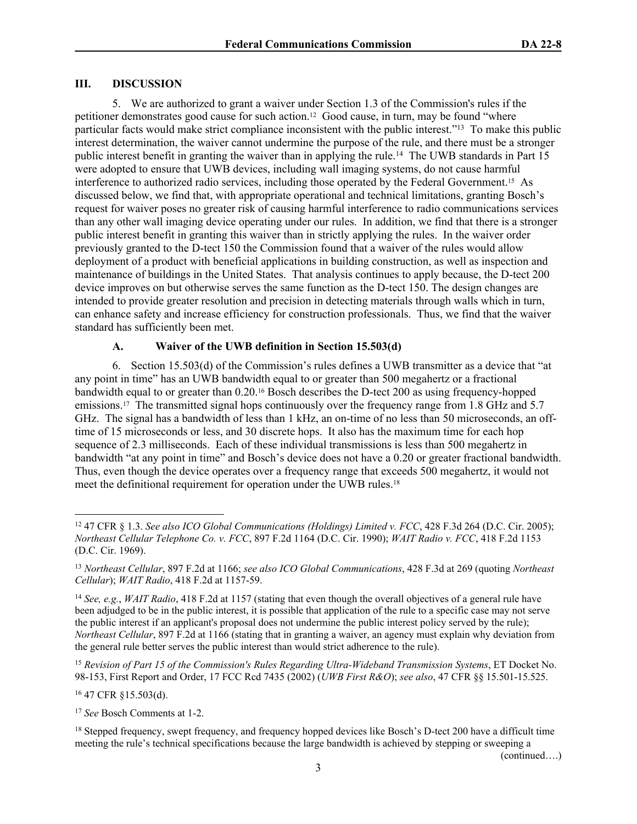### **III. DISCUSSION**

5. We are authorized to grant a waiver under Section 1.3 of the Commission's rules if the petitioner demonstrates good cause for such action.12 Good cause, in turn, may be found "where particular facts would make strict compliance inconsistent with the public interest."<sup>13</sup> To make this public interest determination, the waiver cannot undermine the purpose of the rule, and there must be a stronger public interest benefit in granting the waiver than in applying the rule.<sup>14</sup> The UWB standards in Part 15 were adopted to ensure that UWB devices, including wall imaging systems, do not cause harmful interference to authorized radio services, including those operated by the Federal Government.15 As discussed below, we find that, with appropriate operational and technical limitations, granting Bosch's request for waiver poses no greater risk of causing harmful interference to radio communications services than any other wall imaging device operating under our rules. In addition, we find that there is a stronger public interest benefit in granting this waiver than in strictly applying the rules. In the waiver order previously granted to the D-tect 150 the Commission found that a waiver of the rules would allow deployment of a product with beneficial applications in building construction, as well as inspection and maintenance of buildings in the United States. That analysis continues to apply because, the D-tect 200 device improves on but otherwise serves the same function as the D-tect 150. The design changes are intended to provide greater resolution and precision in detecting materials through walls which in turn, can enhance safety and increase efficiency for construction professionals. Thus, we find that the waiver standard has sufficiently been met.

# **A. Waiver of the UWB definition in Section 15.503(d)**

6. Section 15.503(d) of the Commission's rules defines a UWB transmitter as a device that "at any point in time" has an UWB bandwidth equal to or greater than 500 megahertz or a fractional bandwidth equal to or greater than 0.20.16 Bosch describes the D-tect 200 as using frequency-hopped emissions.<sup>17</sup> The transmitted signal hops continuously over the frequency range from 1.8 GHz and 5.7 GHz. The signal has a bandwidth of less than 1 kHz, an on-time of no less than 50 microseconds, an offtime of 15 microseconds or less, and 30 discrete hops. It also has the maximum time for each hop sequence of 2.3 milliseconds. Each of these individual transmissions is less than 500 megahertz in bandwidth "at any point in time" and Bosch's device does not have a 0.20 or greater fractional bandwidth. Thus, even though the device operates over a frequency range that exceeds 500 megahertz, it would not meet the definitional requirement for operation under the UWB rules.<sup>18</sup>

<sup>15</sup> *Revision of Part 15 of the Commission's Rules Regarding Ultra-Wideband Transmission Systems*, ET Docket No. 98-153, First Report and Order, 17 FCC Rcd 7435 (2002) (*UWB First R&O*); *see also*, 47 CFR §§ 15.501-15.525.

<sup>16</sup> 47 CFR §15.503(d).

<sup>17</sup> *See* Bosch Comments at 1-2.

(continued….)

<sup>12</sup> [47 CFR § 1.3.](https://web2.westlaw.com/find/default.wl?tf=-1&rs=WLW8.08&fn=_top&sv=Split&tc=-1&docname=47CFRS1.3&ordoc=2011591254&findtype=L&db=1000547&vr=2.0&rp=%2ffind%2fdefault.wl&mt=Westlaw) *See also [ICO Global Communications \(Holdings\) Limited v. FCC](https://web2.westlaw.com/find/default.wl?tf=-1&rs=WLW8.08&serialnum=2007579635&fn=_top&sv=Split&tc=-1&findtype=Y&ordoc=2011591254&db=506&vr=2.0&rp=%2ffind%2fdefault.wl&mt=Westlaw)*, 428 F.3d 264 (D.C. Cir. 2005); *[Northeast Cellular Telephone Co. v. FCC](https://web2.westlaw.com/find/default.wl?tf=-1&rs=WLW8.08&serialnum=1990047144&fn=_top&sv=Split&tc=-1&findtype=Y&ordoc=2011591254&db=350&vr=2.0&rp=%2ffind%2fdefault.wl&mt=Westlaw)*, 897 F.2d 1164 (D.C. Cir. 1990); *[WAIT Radio v. FCC](https://web2.westlaw.com/find/default.wl?tf=-1&rs=WLW8.08&serialnum=1969121124&fn=_top&sv=Split&tc=-1&findtype=Y&ordoc=2011591254&db=350&vr=2.0&rp=%2ffind%2fdefault.wl&mt=Westlaw)*, 418 F.2d 1153 [\(D.C. Cir. 1969\).](https://web2.westlaw.com/find/default.wl?tf=-1&rs=WLW8.08&serialnum=1969121124&fn=_top&sv=Split&tc=-1&findtype=Y&ordoc=2011591254&db=350&vr=2.0&rp=%2ffind%2fdefault.wl&mt=Westlaw)

<sup>13</sup> *Northeast Cellular*, 897 F.2d at 1166; *see also [ICO Global Communications](https://web2.westlaw.com/find/default.wl?tf=-1&rs=WLW8.08&referencepositiontype=S&serialnum=2007579635&fn=_top&sv=Split&referenceposition=269&findtype=Y&tc=-1&ordoc=2011591254&db=506&vr=2.0&rp=%2ffind%2fdefault.wl&mt=Westlaw)*, 428 F.3d at 269 (quoting *Northeast Cellular*); *WAIT Radio*[, 418 F.2d at 1157-59.](https://web2.westlaw.com/find/default.wl?tf=-1&rs=WLW8.08&referencepositiontype=S&serialnum=1969121124&fn=_top&sv=Split&referenceposition=1157&findtype=Y&tc=-1&ordoc=2011591254&db=350&vr=2.0&rp=%2ffind%2fdefault.wl&mt=Westlaw)

<sup>14</sup> *See, e.g.*, *WAIT Radio*[, 418 F.2d at 1157](https://web2.westlaw.com/find/default.wl?tf=-1&rs=WLW8.08&referencepositiontype=S&serialnum=1969121124&fn=_top&sv=Split&referenceposition=1157&findtype=Y&tc=-1&ordoc=2011591254&db=350&vr=2.0&rp=%2ffind%2fdefault.wl&mt=Westlaw) (stating that even though the overall objectives of a general rule have been adjudged to be in the public interest, it is possible that application of the rule to a specific case may not serve the public interest if an applicant's proposal does not undermine the public interest policy served by the rule); *Northeast Cellular*, 897 F.2d at 1166 (stating that in granting a waiver, an agency must explain why deviation from the general rule better serves the public interest than would strict adherence to the rule).

<sup>&</sup>lt;sup>18</sup> Stepped frequency, swept frequency, and frequency hopped devices like Bosch's D-tect 200 have a difficult time meeting the rule's technical specifications because the large bandwidth is achieved by stepping or sweeping a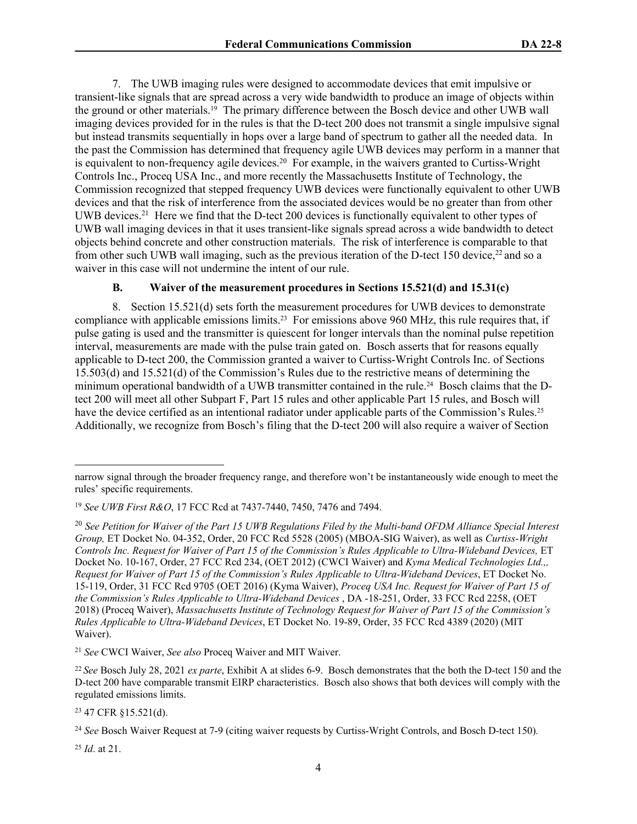7. The UWB imaging rules were designed to accommodate devices that emit impulsive or transient-like signals that are spread across a very wide bandwidth to produce an image of objects within the ground or other materials.<sup>19</sup> The primary difference between the Bosch device and other UWB wall imaging devices provided for in the rules is that the D-tect 200 does not transmit a single impulsive signal but instead transmits sequentially in hops over a large band of spectrum to gather all the needed data. In the past the Commission has determined that frequency agile UWB devices may perform in a manner that is equivalent to non-frequency agile devices.<sup>20</sup> For example, in the waivers granted to Curtiss-Wright Controls Inc., Proceq USA Inc., and more recently the Massachusetts Institute of Technology, the Commission recognized that stepped frequency UWB devices were functionally equivalent to other UWB devices and that the risk of interference from the associated devices would be no greater than from other UWB devices.<sup>21</sup> Here we find that the D-tect 200 devices is functionally equivalent to other types of UWB wall imaging devices in that it uses transient-like signals spread across a wide bandwidth to detect objects behind concrete and other construction materials. The risk of interference is comparable to that from other such UWB wall imaging, such as the previous iteration of the D-tect 150 device,<sup>22</sup> and so a waiver in this case will not undermine the intent of our rule.

# **B. Waiver of the measurement procedures in Sections 15.521(d) and 15.31(c)**

8. Section 15.521(d) sets forth the measurement procedures for UWB devices to demonstrate compliance with applicable emissions limits.23 For emissions above 960 MHz, this rule requires that, if pulse gating is used and the transmitter is quiescent for longer intervals than the nominal pulse repetition interval, measurements are made with the pulse train gated on. Bosch asserts that for reasons equally applicable to D-tect 200, the Commission granted a waiver to Curtiss-Wright Controls Inc. of Sections 15.503(d) and 15.521(d) of the Commission's Rules due to the restrictive means of determining the minimum operational bandwidth of a UWB transmitter contained in the rule.24 Bosch claims that the Dtect 200 will meet all other Subpart F, Part 15 rules and other applicable Part 15 rules, and Bosch will have the device certified as an intentional radiator under applicable parts of the Commission's Rules.<sup>25</sup> Additionally, we recognize from Bosch's filing that the D-tect 200 will also require a waiver of Section

<sup>21</sup> *See* CWCI Waiver, *See also* Proceq Waiver and MIT Waiver.

<sup>23</sup> 47 CFR §15.521(d).

<sup>25</sup> *Id*. at 21.

narrow signal through the broader frequency range, and therefore won't be instantaneously wide enough to meet the rules' specific requirements.

<sup>19</sup> *See UWB First R&O*, 17 FCC Rcd at 7437-7440, 7450, 7476 and 7494.

<sup>20</sup> *See Petition for Waiver of the Part 15 UWB Regulations Filed by the Multi-band OFDM Alliance Special Interest Group,* ET Docket No. 04-352, Order, 20 FCC Rcd 5528 (2005) (MBOA-SIG Waiver), as well as *Curtiss-Wright Controls Inc. Request for Waiver of Part 15 of the Commission's Rules Applicable to Ultra-Wideband Devices,* ET Docket No. 10-167, Order, 27 FCC Rcd 234, (OET 2012) (CWCI Waiver) and *Kyma Medical Technologies Ltd.,, Request for Waiver of Part 15 of the Commission's Rules Applicable to Ultra-Wideband Devices*, ET Docket No. 15-119, Order, 31 FCC Rcd 9705 (OET 2016) (Kyma Waiver), *Proceq USA Inc. Request for Waiver of Part 15 of the Commission's Rules Applicable to Ultra-Wideband Devices* , DA -18-251, Order, 33 FCC Rcd 2258, (OET 2018) (Proceq Waiver), *Massachusetts Institute of Technology Request for Waiver of Part 15 of the Commission's Rules Applicable to Ultra-Wideband Devices*, ET Docket No. 19-89, Order, 35 FCC Rcd 4389 (2020) (MIT Waiver).

<sup>22</sup>*See* Bosch July 28, 2021 *ex parte*, Exhibit A at slides 6-9. Bosch demonstrates that the both the D-tect 150 and the D-tect 200 have comparable transmit EIRP characteristics. Bosch also shows that both devices will comply with the regulated emissions limits.

<sup>24</sup> *See* Bosch Waiver Request at 7-9 (citing waiver requests by Curtiss-Wright Controls, and Bosch D-tect 150)*.*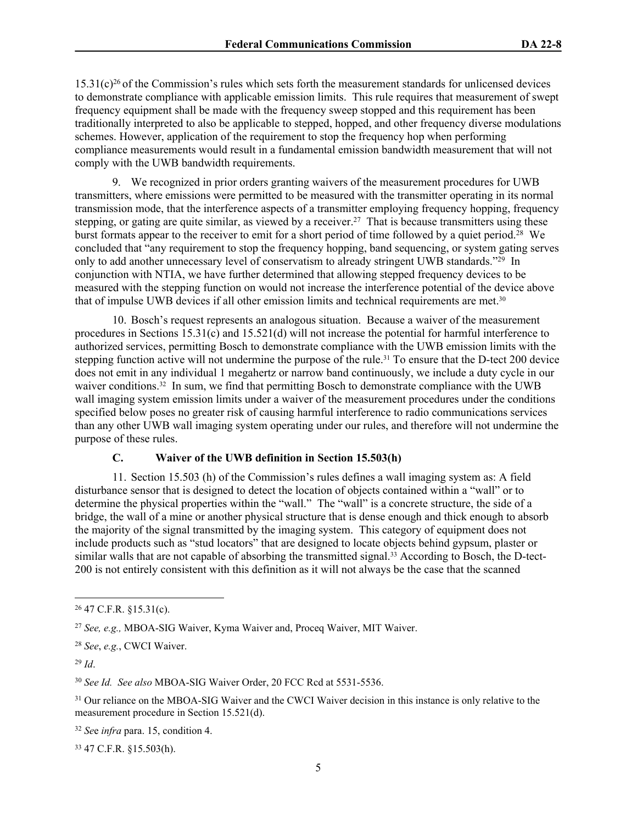$15.31(c)<sup>26</sup>$  of the Commission's rules which sets forth the measurement standards for unlicensed devices to demonstrate compliance with applicable emission limits. This rule requires that measurement of swept frequency equipment shall be made with the frequency sweep stopped and this requirement has been traditionally interpreted to also be applicable to stepped, hopped, and other frequency diverse modulations schemes. However, application of the requirement to stop the frequency hop when performing compliance measurements would result in a fundamental emission bandwidth measurement that will not comply with the UWB bandwidth requirements.

9. We recognized in prior orders granting waivers of the measurement procedures for UWB transmitters, where emissions were permitted to be measured with the transmitter operating in its normal transmission mode, that the interference aspects of a transmitter employing frequency hopping, frequency stepping, or gating are quite similar, as viewed by a receiver.<sup>27</sup> That is because transmitters using these burst formats appear to the receiver to emit for a short period of time followed by a quiet period.<sup>28</sup> We concluded that "any requirement to stop the frequency hopping, band sequencing, or system gating serves only to add another unnecessary level of conservatism to already stringent UWB standards."<sup>29</sup> In conjunction with NTIA, we have further determined that allowing stepped frequency devices to be measured with the stepping function on would not increase the interference potential of the device above that of impulse UWB devices if all other emission limits and technical requirements are met.<sup>30</sup>

10. Bosch's request represents an analogous situation. Because a waiver of the measurement procedures in Sections 15.31(c) and 15.521(d) will not increase the potential for harmful interference to authorized services, permitting Bosch to demonstrate compliance with the UWB emission limits with the stepping function active will not undermine the purpose of the rule.31 To ensure that the D-tect 200 device does not emit in any individual 1 megahertz or narrow band continuously, we include a duty cycle in our waiver conditions.<sup>32</sup> In sum, we find that permitting Bosch to demonstrate compliance with the UWB wall imaging system emission limits under a waiver of the measurement procedures under the conditions specified below poses no greater risk of causing harmful interference to radio communications services than any other UWB wall imaging system operating under our rules, and therefore will not undermine the purpose of these rules.

# **C. Waiver of the UWB definition in Section 15.503(h)**

11. Section 15.503 (h) of the Commission's rules defines a wall imaging system as: A field disturbance sensor that is designed to detect the location of objects contained within a "wall" or to determine the physical properties within the "wall." The "wall" is a concrete structure, the side of a bridge, the wall of a mine or another physical structure that is dense enough and thick enough to absorb the majority of the signal transmitted by the imaging system. This category of equipment does not include products such as "stud locators" that are designed to locate objects behind gypsum, plaster or similar walls that are not capable of absorbing the transmitted signal.<sup>33</sup> According to Bosch, the D-tect-200 is not entirely consistent with this definition as it will not always be the case that the scanned

<sup>30</sup> *See Id. See also* MBOA-SIG Waiver Order, 20 FCC Rcd at 5531-5536.

<sup>31</sup> Our reliance on the MBOA-SIG Waiver and the CWCI Waiver decision in this instance is only relative to the measurement procedure in Section 15.521(d).

<sup>32</sup> *Se*e *infra* para. 15, condition 4.

33 47 C.F.R. §15.503(h).

<sup>26</sup> 47 C.F.R. §15.31(c).

<sup>27</sup> *See, e.g.,* MBOA-SIG Waiver, Kyma Waiver and, Proceq Waiver, MIT Waiver.

<sup>28</sup> *See*, *e.g.*, CWCI Waiver.

<sup>29</sup> *Id*.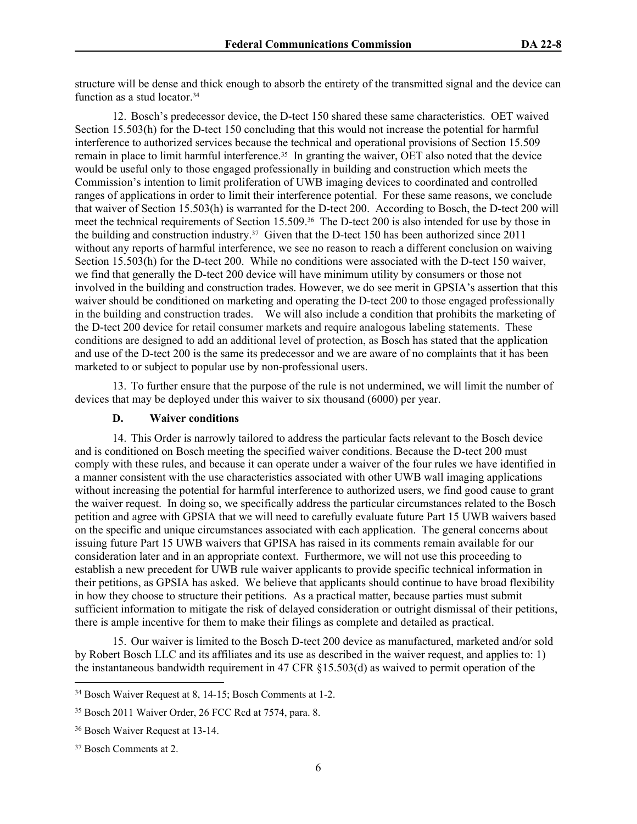structure will be dense and thick enough to absorb the entirety of the transmitted signal and the device can function as a stud locator.<sup>34</sup>

12. Bosch's predecessor device, the D-tect 150 shared these same characteristics. OET waived Section 15.503(h) for the D-tect 150 concluding that this would not increase the potential for harmful interference to authorized services because the technical and operational provisions of Section 15.509 remain in place to limit harmful interference.<sup>35</sup> In granting the waiver, OET also noted that the device would be useful only to those engaged professionally in building and construction which meets the Commission's intention to limit proliferation of UWB imaging devices to coordinated and controlled ranges of applications in order to limit their interference potential. For these same reasons, we conclude that waiver of Section 15.503(h) is warranted for the D-tect 200. According to Bosch, the D-tect 200 will meet the technical requirements of Section 15.509.36 The D-tect 200 is also intended for use by those in the building and construction industry.37 Given that the D-tect 150 has been authorized since 2011 without any reports of harmful interference, we see no reason to reach a different conclusion on waiving Section 15.503(h) for the D-tect 200. While no conditions were associated with the D-tect 150 waiver, we find that generally the D-tect 200 device will have minimum utility by consumers or those not involved in the building and construction trades. However, we do see merit in GPSIA's assertion that this waiver should be conditioned on marketing and operating the D-tect 200 to those engaged professionally in the building and construction trades. We will also include a condition that prohibits the marketing of the D-tect 200 device for retail consumer markets and require analogous labeling statements. These conditions are designed to add an additional level of protection, as Bosch has stated that the application and use of the D-tect 200 is the same its predecessor and we are aware of no complaints that it has been marketed to or subject to popular use by non-professional users.

13. To further ensure that the purpose of the rule is not undermined, we will limit the number of devices that may be deployed under this waiver to six thousand (6000) per year.

# **D. Waiver conditions**

14. This Order is narrowly tailored to address the particular facts relevant to the Bosch device and is conditioned on Bosch meeting the specified waiver conditions. Because the D-tect 200 must comply with these rules, and because it can operate under a waiver of the four rules we have identified in a manner consistent with the use characteristics associated with other UWB wall imaging applications without increasing the potential for harmful interference to authorized users, we find good cause to grant the waiver request. In doing so, we specifically address the particular circumstances related to the Bosch petition and agree with GPSIA that we will need to carefully evaluate future Part 15 UWB waivers based on the specific and unique circumstances associated with each application. The general concerns about issuing future Part 15 UWB waivers that GPISA has raised in its comments remain available for our consideration later and in an appropriate context. Furthermore, we will not use this proceeding to establish a new precedent for UWB rule waiver applicants to provide specific technical information in their petitions, as GPSIA has asked. We believe that applicants should continue to have broad flexibility in how they choose to structure their petitions. As a practical matter, because parties must submit sufficient information to mitigate the risk of delayed consideration or outright dismissal of their petitions, there is ample incentive for them to make their filings as complete and detailed as practical.

15. Our waiver is limited to the Bosch D-tect 200 device as manufactured, marketed and/or sold by Robert Bosch LLC and its affiliates and its use as described in the waiver request, and applies to: 1) the instantaneous bandwidth requirement in 47 CFR §15.503(d) as waived to permit operation of the

<sup>34</sup> Bosch Waiver Request at 8, 14-15; Bosch Comments at 1-2.

<sup>35</sup> Bosch 2011 Waiver Order, 26 FCC Rcd at 7574, para. 8.

<sup>36</sup> Bosch Waiver Request at 13-14.

<sup>37</sup> Bosch Comments at 2.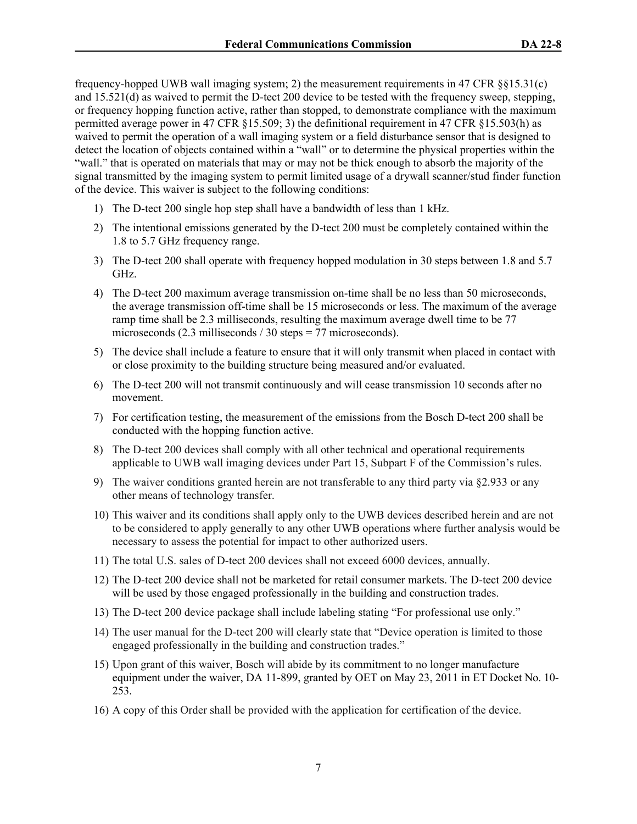frequency-hopped UWB wall imaging system; 2) the measurement requirements in 47 CFR §§15.31(c) and 15.521(d) as waived to permit the D-tect 200 device to be tested with the frequency sweep, stepping, or frequency hopping function active, rather than stopped, to demonstrate compliance with the maximum permitted average power in 47 CFR §15.509; 3) the definitional requirement in 47 CFR §15.503(h) as waived to permit the operation of a wall imaging system or a field disturbance sensor that is designed to detect the location of objects contained within a "wall" or to determine the physical properties within the "wall." that is operated on materials that may or may not be thick enough to absorb the majority of the signal transmitted by the imaging system to permit limited usage of a drywall scanner/stud finder function of the device. This waiver is subject to the following conditions:

- 1) The D-tect 200 single hop step shall have a bandwidth of less than 1 kHz.
- 2) The intentional emissions generated by the D-tect 200 must be completely contained within the 1.8 to 5.7 GHz frequency range.
- 3) The D-tect 200 shall operate with frequency hopped modulation in 30 steps between 1.8 and 5.7 GHz.
- 4) The D-tect 200 maximum average transmission on-time shall be no less than 50 microseconds, the average transmission off-time shall be 15 microseconds or less. The maximum of the average ramp time shall be 2.3 milliseconds, resulting the maximum average dwell time to be 77 microseconds (2.3 milliseconds / 30 steps = 77 microseconds).
- 5) The device shall include a feature to ensure that it will only transmit when placed in contact with or close proximity to the building structure being measured and/or evaluated.
- 6) The D-tect 200 will not transmit continuously and will cease transmission 10 seconds after no movement.
- 7) For certification testing, the measurement of the emissions from the Bosch D-tect 200 shall be conducted with the hopping function active.
- 8) The D-tect 200 devices shall comply with all other technical and operational requirements applicable to UWB wall imaging devices under Part 15, Subpart F of the Commission's rules.
- 9) The waiver conditions granted herein are not transferable to any third party via §2.933 or any other means of technology transfer.
- 10) This waiver and its conditions shall apply only to the UWB devices described herein and are not to be considered to apply generally to any other UWB operations where further analysis would be necessary to assess the potential for impact to other authorized users.
- 11) The total U.S. sales of D-tect 200 devices shall not exceed 6000 devices, annually.
- 12) The D-tect 200 device shall not be marketed for retail consumer markets. The D-tect 200 device will be used by those engaged professionally in the building and construction trades.
- 13) The D-tect 200 device package shall include labeling stating "For professional use only."
- 14) The user manual for the D-tect 200 will clearly state that "Device operation is limited to those engaged professionally in the building and construction trades."
- 15) Upon grant of this waiver, Bosch will abide by its commitment to no longer manufacture equipment under the waiver, DA 11-899, granted by OET on May 23, 2011 in ET Docket No. 10- 253.
- 16) A copy of this Order shall be provided with the application for certification of the device.